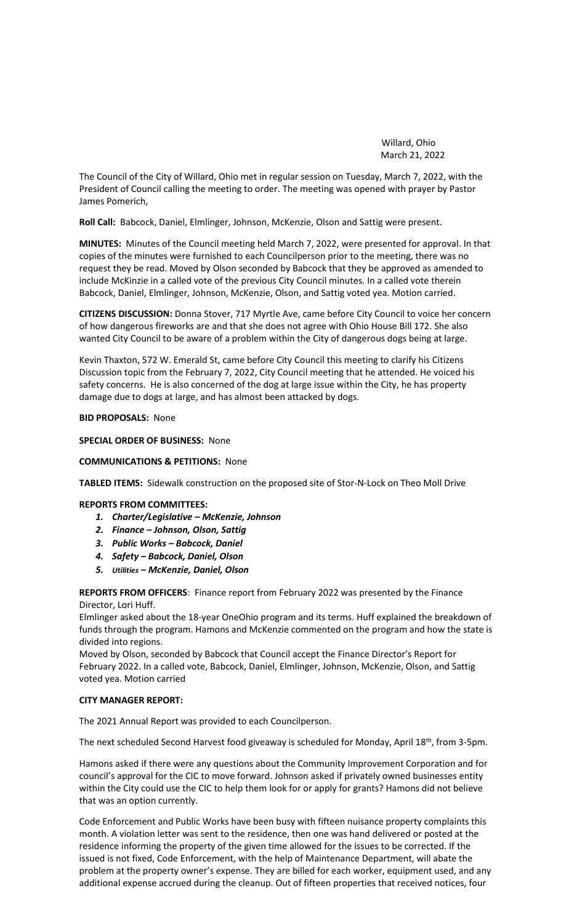Willard, Ohio March 21, 2022

The Council of the City of Willard, Ohio met in regular session on Tuesday, March 7, 2022, with the President of Council calling the meeting to order. The meeting was opened with prayer by Pastor James Pomerich,

**Roll Call:** Babcock, Daniel, Elmlinger, Johnson, McKenzie, Olson and Sattig were present.

**MINUTES:** Minutes of the Council meeting held March 7, 2022, were presented for approval. In that copies of the minutes were furnished to each Councilperson prior to the meeting, there was no request they be read. Moved by Olson seconded by Babcock that they be approved as amended to include McKinzie in a called vote of the previous City Council minutes. In a called vote therein Babcock, Daniel, Elmlinger, Johnson, McKenzie, Olson, and Sattig voted yea. Motion carried.

**CITIZENS DISCUSSION:** Donna Stover, 717 Myrtle Ave, came before City Council to voice her concern of how dangerous fireworks are and that she does not agree with Ohio House Bill 172. She also wanted City Council to be aware of a problem within the City of dangerous dogs being at large.

Kevin Thaxton, 572 W. Emerald St, came before City Council this meeting to clarify his Citizens Discussion topic from the February 7, 2022, City Council meeting that he attended. He voiced his safety concerns. He is also concerned of the dog at large issue within the City, he has property damage due to dogs at large, and has almost been attacked by dogs.

**BID PROPOSALS:** None

**SPECIAL ORDER OF BUSINESS:** None

**COMMUNICATIONS & PETITIONS:** None

**TABLED ITEMS:** Sidewalk construction on the proposed site of Stor-N-Lock on Theo Moll Drive

**REPORTS FROM COMMITTEES:** 

- *1. Charter/Legislative – McKenzie, Johnson*
- *2. Finance – Johnson, Olson, Sattig*
- *3. Public Works – Babcock, Daniel*
- *4. Safety – Babcock, Daniel, Olson*
- *5. Utilities – McKenzie, Daniel, Olson*

**REPORTS FROM OFFICERS**: Finance report from February 2022 was presented by the Finance Director, Lori Huff.

Elmlinger asked about the 18-year OneOhio program and its terms. Huff explained the breakdown of funds through the program. Hamons and McKenzie commented on the program and how the state is divided into regions.

Moved by Olson, seconded by Babcock that Council accept the Finance Director's Report for February 2022. In a called vote, Babcock, Daniel, Elmlinger, Johnson, McKenzie, Olson, and Sattig voted yea. Motion carried

#### **CITY MANAGER REPORT:**

The 2021 Annual Report was provided to each Councilperson.

The next scheduled Second Harvest food giveaway is scheduled for Monday, April 18<sup>th</sup>, from 3-5pm.

Hamons asked if there were any questions about the Community Improvement Corporation and for council's approval for the CIC to move forward. Johnson asked if privately owned businesses entity within the City could use the CIC to help them look for or apply for grants? Hamons did not believe that was an option currently.

Code Enforcement and Public Works have been busy with fifteen nuisance property complaints this month. A violation letter was sent to the residence, then one was hand delivered or posted at the residence informing the property of the given time allowed for the issues to be corrected. If the issued is not fixed, Code Enforcement, with the help of Maintenance Department, will abate the problem at the property owner's expense. They are billed for each worker, equipment used, and any additional expense accrued during the cleanup. Out of fifteen properties that received notices, four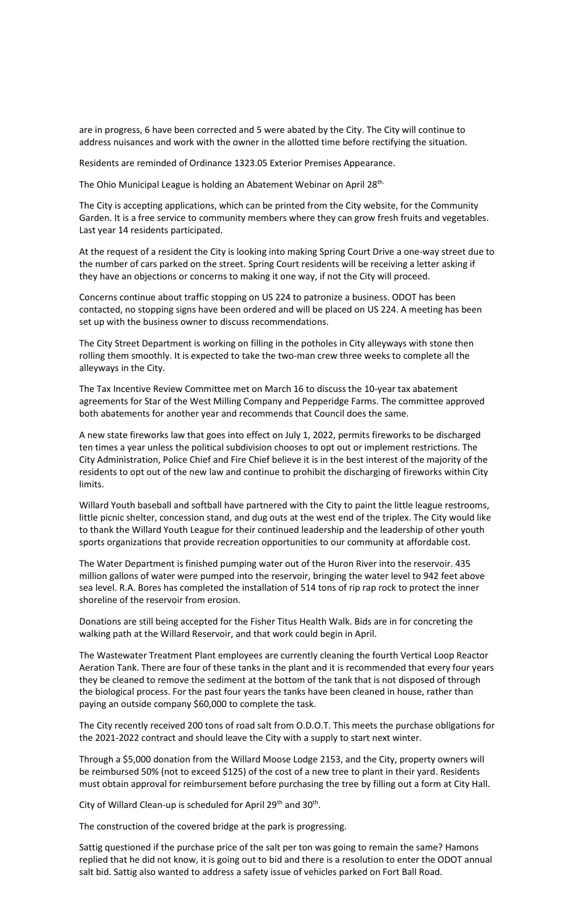are in progress, 6 have been corrected and 5 were abated by the City. The City will continue to address nuisances and work with the owner in the allotted time before rectifying the situation.

Residents are reminded of Ordinance 1323.05 Exterior Premises Appearance.

The Ohio Municipal League is holding an Abatement Webinar on April 28th.

The City is accepting applications, which can be printed from the City website, for the Community Garden. It is a free service to community members where they can grow fresh fruits and vegetables. Last year 14 residents participated.

At the request of a resident the City is looking into making Spring Court Drive a one-way street due to the number of cars parked on the street. Spring Court residents will be receiving a letter asking if they have an objections or concerns to making it one way, if not the City will proceed.

Concerns continue about traffic stopping on US 224 to patronize a business. ODOT has been contacted, no stopping signs have been ordered and will be placed on US 224. A meeting has been set up with the business owner to discuss recommendations.

The City Street Department is working on filling in the potholes in City alleyways with stone then rolling them smoothly. It is expected to take the two-man crew three weeks to complete all the alleyways in the City.

The Tax Incentive Review Committee met on March 16 to discuss the 10-year tax abatement agreements for Star of the West Milling Company and Pepperidge Farms. The committee approved both abatements for another year and recommends that Council does the same.

A new state fireworks law that goes into effect on July 1, 2022, permits fireworks to be discharged ten times a year unless the political subdivision chooses to opt out or implement restrictions. The City Administration, Police Chief and Fire Chief believe it is in the best interest of the majority of the residents to opt out of the new law and continue to prohibit the discharging of fireworks within City limits.

Willard Youth baseball and softball have partnered with the City to paint the little league restrooms, little picnic shelter, concession stand, and dug outs at the west end of the triplex. The City would like to thank the Willard Youth League for their continued leadership and the leadership of other youth sports organizations that provide recreation opportunities to our community at affordable cost.

The Water Department is finished pumping water out of the Huron River into the reservoir. 435 million gallons of water were pumped into the reservoir, bringing the water level to 942 feet above sea level. R.A. Bores has completed the installation of 514 tons of rip rap rock to protect the inner shoreline of the reservoir from erosion.

Donations are still being accepted for the Fisher Titus Health Walk. Bids are in for concreting the walking path at the Willard Reservoir, and that work could begin in April.

The Wastewater Treatment Plant employees are currently cleaning the fourth Vertical Loop Reactor Aeration Tank. There are four of these tanks in the plant and it is recommended that every four years they be cleaned to remove the sediment at the bottom of the tank that is not disposed of through the biological process. For the past four years the tanks have been cleaned in house, rather than paying an outside company \$60,000 to complete the task.

The City recently received 200 tons of road salt from O.D.O.T. This meets the purchase obligations for the 2021-2022 contract and should leave the City with a supply to start next winter.

Through a \$5,000 donation from the Willard Moose Lodge 2153, and the City, property owners will be reimbursed 50% (not to exceed \$125) of the cost of a new tree to plant in their yard. Residents must obtain approval for reimbursement before purchasing the tree by filling out a form at City Hall.

City of Willard Clean-up is scheduled for April 29<sup>th</sup> and 30<sup>th</sup>.

The construction of the covered bridge at the park is progressing.

Sattig questioned if the purchase price of the salt per ton was going to remain the same? Hamons replied that he did not know, it is going out to bid and there is a resolution to enter the ODOT annual salt bid. Sattig also wanted to address a safety issue of vehicles parked on Fort Ball Road.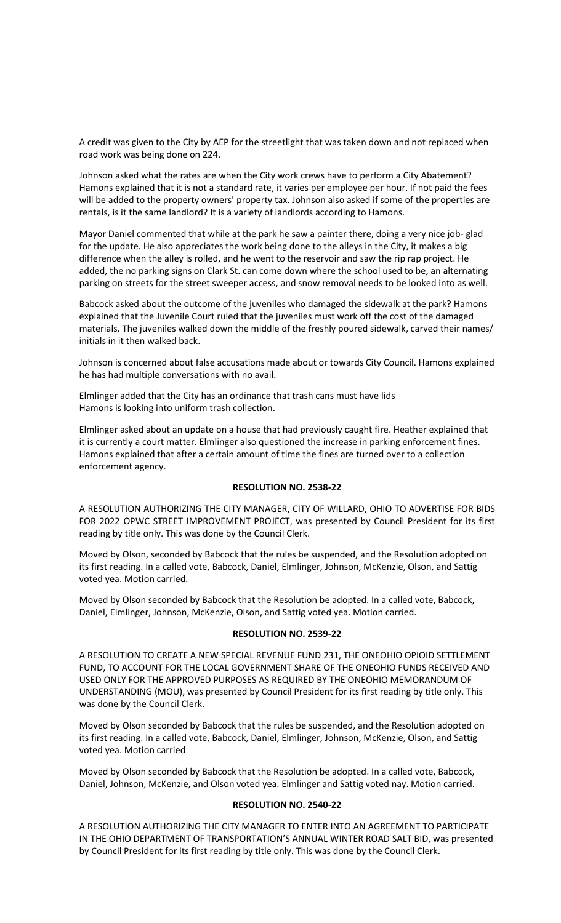A credit was given to the City by AEP for the streetlight that was taken down and not replaced when road work was being done on 224.

Johnson asked what the rates are when the City work crews have to perform a City Abatement? Hamons explained that it is not a standard rate, it varies per employee per hour. If not paid the fees will be added to the property owners' property tax. Johnson also asked if some of the properties are rentals, is it the same landlord? It is a variety of landlords according to Hamons.

Mayor Daniel commented that while at the park he saw a painter there, doing a very nice job- glad for the update. He also appreciates the work being done to the alleys in the City, it makes a big difference when the alley is rolled, and he went to the reservoir and saw the rip rap project. He added, the no parking signs on Clark St. can come down where the school used to be, an alternating parking on streets for the street sweeper access, and snow removal needs to be looked into as well.

Babcock asked about the outcome of the juveniles who damaged the sidewalk at the park? Hamons explained that the Juvenile Court ruled that the juveniles must work off the cost of the damaged materials. The juveniles walked down the middle of the freshly poured sidewalk, carved their names/ initials in it then walked back.

Johnson is concerned about false accusations made about or towards City Council. Hamons explained he has had multiple conversations with no avail.

Elmlinger added that the City has an ordinance that trash cans must have lids Hamons is looking into uniform trash collection.

Elmlinger asked about an update on a house that had previously caught fire. Heather explained that it is currently a court matter. Elmlinger also questioned the increase in parking enforcement fines. Hamons explained that after a certain amount of time the fines are turned over to a collection enforcement agency.

# **RESOLUTION NO. 2538-22**

A RESOLUTION AUTHORIZING THE CITY MANAGER, CITY OF WILLARD, OHIO TO ADVERTISE FOR BIDS FOR 2022 OPWC STREET IMPROVEMENT PROJECT, was presented by Council President for its first reading by title only. This was done by the Council Clerk.

Moved by Olson, seconded by Babcock that the rules be suspended, and the Resolution adopted on its first reading. In a called vote, Babcock, Daniel, Elmlinger, Johnson, McKenzie, Olson, and Sattig voted yea. Motion carried.

Moved by Olson seconded by Babcock that the Resolution be adopted. In a called vote, Babcock, Daniel, Elmlinger, Johnson, McKenzie, Olson, and Sattig voted yea. Motion carried.

### **RESOLUTION NO. 2539-22**

A RESOLUTION TO CREATE A NEW SPECIAL REVENUE FUND 231, THE ONEOHIO OPIOID SETTLEMENT FUND, TO ACCOUNT FOR THE LOCAL GOVERNMENT SHARE OF THE ONEOHIO FUNDS RECEIVED AND USED ONLY FOR THE APPROVED PURPOSES AS REQUIRED BY THE ONEOHIO MEMORANDUM OF UNDERSTANDING (MOU), was presented by Council President for its first reading by title only. This was done by the Council Clerk.

Moved by Olson seconded by Babcock that the rules be suspended, and the Resolution adopted on its first reading. In a called vote, Babcock, Daniel, Elmlinger, Johnson, McKenzie, Olson, and Sattig voted yea. Motion carried

Moved by Olson seconded by Babcock that the Resolution be adopted. In a called vote, Babcock, Daniel, Johnson, McKenzie, and Olson voted yea. Elmlinger and Sattig voted nay. Motion carried.

# **RESOLUTION NO. 2540-22**

A RESOLUTION AUTHORIZING THE CITY MANAGER TO ENTER INTO AN AGREEMENT TO PARTICIPATE IN THE OHIO DEPARTMENT OF TRANSPORTATION'S ANNUAL WINTER ROAD SALT BID, was presented by Council President for its first reading by title only. This was done by the Council Clerk.